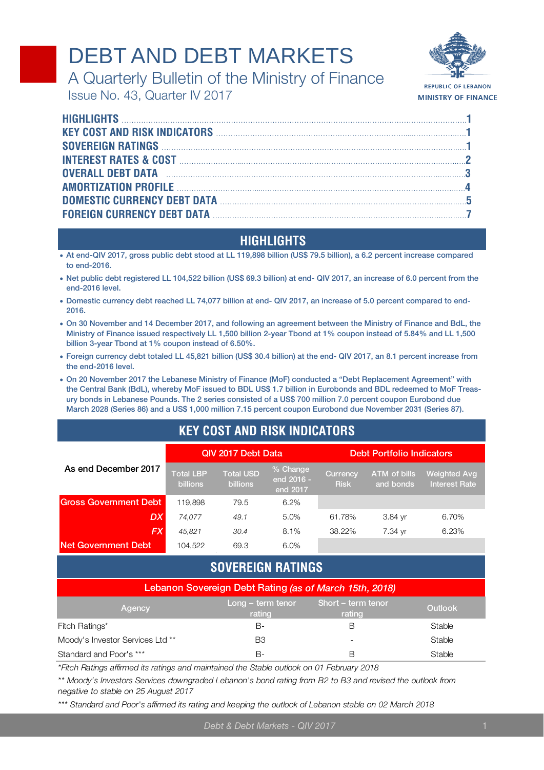# DEBT AND DEBT MARKETS



**REPUBLIC OF LEBANON MINISTRY OF FINANCE** 

A Quarterly Bulletin of the Ministry of Finance Issue No. 43, Quarter IV 2017

| KEY COST AND RISK INDICATORS <b>CONSTITUTE OF A SET AND RISK</b> IN |  |
|---------------------------------------------------------------------|--|
|                                                                     |  |
|                                                                     |  |
|                                                                     |  |
|                                                                     |  |
|                                                                     |  |
|                                                                     |  |
|                                                                     |  |

## **HIGHLIGHTS**

- **At end-QIV 2017, gross public debt stood at LL 119,898 billion (US\$ 79.5 billion), a 6.2 percent increase compared to end-2016.**
- **Net public debt registered LL 104,522 billion (US\$ 69.3 billion) at end- QIV 2017, an increase of 6.0 percent from the end-2016 level.**
- **Domestic currency debt reached LL 74,077 billion at end- QIV 2017, an increase of 5.0 percent compared to end-2016.**
- **On 30 November and 14 December 2017, and following an agreement between the Ministry of Finance and BdL, the Ministry of Finance issued respectively LL 1,500 billion 2-year Tbond at 1% coupon instead of 5.84% and LL 1,500 billion 3-year Tbond at 1% coupon instead of 6.50%.**
- **Foreign currency debt totaled LL 45,821 billion (US\$ 30.4 billion) at the end- QIV 2017, an 8.1 percent increase from the end-2016 level.**
- **On 20 November 2017 the Lebanese Ministry of Finance (MoF) conducted a "Debt Replacement Agreement" with the Central Bank (BdL), whereby MoF issued to BDL US\$ 1.7 billion in Eurobonds and BDL redeemed to MoF Treasury bonds in Lebanese Pounds. The 2 series consisted of a US\$ 700 million 7.0 percent coupon Eurobond due March 2028 (Series 86) and a US\$ 1,000 million 7.15 percent coupon Eurobond due November 2031 (Series 87).**

# **KEY COST AND RISK INDICATORS**

|                              |                                     | QIV 2017 Debt Data                  |                                    | <b>Debt Portfolio Indicators</b> |                                  |                                             |  |  |  |
|------------------------------|-------------------------------------|-------------------------------------|------------------------------------|----------------------------------|----------------------------------|---------------------------------------------|--|--|--|
| As end December 2017         | <b>Total LBP</b><br><b>billions</b> | <b>Total USD</b><br><b>billions</b> | % Change<br>end 2016 -<br>end 2017 | <b>Currency</b><br><b>Risk</b>   | <b>ATM</b> of bills<br>and bonds | <b>Weighted Avg</b><br><b>Interest Rate</b> |  |  |  |
| <b>Gross Government Debt</b> | 119.898                             | 79.5                                | 6.2%                               |                                  |                                  |                                             |  |  |  |
| DX                           | 74,077                              | 49.1                                | 5.0%                               | 61.78%                           | 3.84 yr                          | 6.70%                                       |  |  |  |
| FX                           | 45.821                              | 30.4                                | 8.1%                               | 38.22%                           | 7.34 yr                          | 6.23%                                       |  |  |  |
| Net Government Debt          | 104.522                             | 69.3                                | 6.0%                               |                                  |                                  |                                             |  |  |  |

## **SOVEREIGN RATINGS**

| Lebanon Sovereign Debt Rating (as of March 15th, 2018) |                               |                              |                |  |  |  |  |  |  |
|--------------------------------------------------------|-------------------------------|------------------------------|----------------|--|--|--|--|--|--|
| Agency                                                 | $Long - term tenor$<br>rating | Short - term tenor<br>rating | <b>Outlook</b> |  |  |  |  |  |  |
| Fitch Ratings*                                         | B-                            | R                            | Stable         |  |  |  |  |  |  |
| Moody's Investor Services Ltd **                       | BЗ                            | $\overline{\phantom{0}}$     | Stable         |  |  |  |  |  |  |
| Standard and Poor's ***                                | в-                            | R                            | Stable         |  |  |  |  |  |  |

*\*Fitch Ratings affirmed its ratings and maintained the Stable outlook on 01 February 2018*

*\*\* Moody's Investors Services downgraded Lebanon's bond rating from B2 to B3 and revised the outlook from negative to stable on 25 August 2017*

*\*\*\* Standard and Poor's affirmed its rating and keeping the outlook of Lebanon stable on 02 March 2018*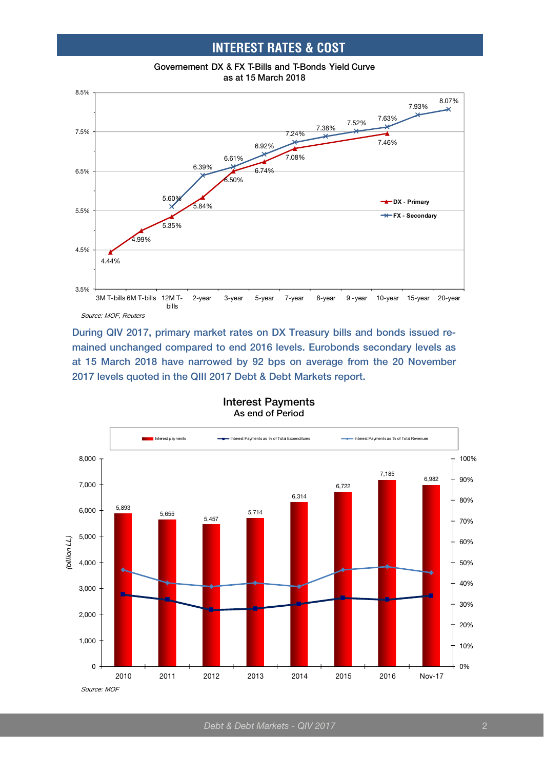## **INTEREST RATES & COST**





**During QIV 2017, primary market rates on DX Treasury bills and bonds issued remained unchanged compared to end 2016 levels. Eurobonds secondary levels as at 15 March 2018 have narrowed by 92 bps on average from the 20 November 2017 levels quoted in the QIII 2017 Debt & Debt Markets report.**



#### **Interest Payments As end of Period**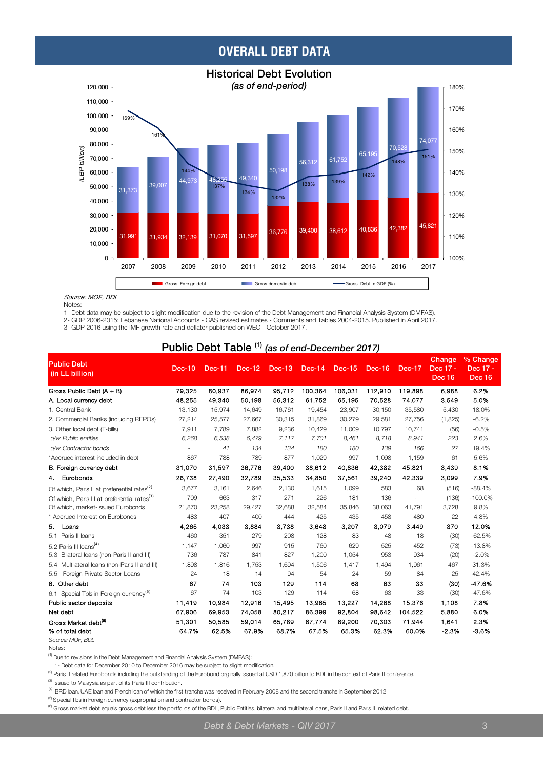## **OVERALL DEBT DATA**



#### Source: MOF, BDL

Notes:

1- Debt data may be subject to slight modification due to the revision of the Debt Management and Financial Analysis System (DMFAS).

2- GDP 2006-2015: Lebanese National Accounts - CAS revised estimates - Comments and Tables 2004-2015. Published in April 2017.

3- GDP 2016 using the IMF growth rate and deflator published on WEO - October 2017.

#### **Public Debt Table (1)** *(as of end-December 2017)*

| <b>Public Debt</b><br>(in LL billion)                    | <b>Dec-10</b> | <b>Dec-11</b> | $Dec-12$ | <b>Dec-13</b> | Dec-14  | <b>Dec-15</b> | Dec-16  | Dec-17  | Change<br>Dec 17 -<br><b>Dec 16</b> | % Change<br>Dec 17 -<br>Dec 16 |
|----------------------------------------------------------|---------------|---------------|----------|---------------|---------|---------------|---------|---------|-------------------------------------|--------------------------------|
| Gross Public Debt (A + B)                                | 79,325        | 80.937        | 86,974   | 95.712        | 100,364 | 106.031       | 112,910 | 119,898 | 6,988                               | 6.2%                           |
| A. Local currency debt                                   | 48,255        | 49.340        | 50.198   | 56,312        | 61.752  | 65.195        | 70,528  | 74.077  | 3,549                               | 5.0%                           |
| 1. Central Bank                                          | 13,130        | 15,974        | 14,649   | 16,761        | 19,454  | 23,907        | 30,150  | 35,580  | 5,430                               | 18.0%                          |
| 2. Commercial Banks (including REPOs)                    | 27,214        | 25,577        | 27.667   | 30,315        | 31,869  | 30,279        | 29,581  | 27,756  | (1,825)                             | $-6.2%$                        |
| 3. Other local debt (T-bills)                            | 7,911         | 7,789         | 7,882    | 9,236         | 10,429  | 11,009        | 10,797  | 10,741  | (56)                                | $-0.5%$                        |
| o/w Public entities                                      | 6,268         | 6,538         | 6.479    | 7,117         | 7,701   | 8,461         | 8,718   | 8,941   | 223                                 | 2.6%                           |
| o/w Contractor bonds                                     |               | 41            | 134      | 134           | 180     | 180           | 139     | 166     | 27                                  | 19.4%                          |
| *Accrued interest included in debt                       | 867           | 788           | 789      | 877           | 1,029   | 997           | 1,098   | 1,159   | 61                                  | 5.6%                           |
| B. Foreign currency debt                                 | 31,070        | 31.597        | 36,776   | 39,400        | 38.612  | 40.836        | 42,382  | 45,821  | 3,439                               | 8.1%                           |
| Eurobonds<br>4.                                          | 26,738        | 27,490        | 32,789   | 35,533        | 34,850  | 37,561        | 39,240  | 42,339  | 3,099                               | 7.9%                           |
| Of which, Paris II at preferential rates <sup>(2)</sup>  | 3,677         | 3,161         | 2,646    | 2,130         | 1,615   | 1,099         | 583     | 68      | (516)                               | $-88.4%$                       |
| Of which, Paris III at preferential rates <sup>(3)</sup> | 709           | 663           | 317      | 271           | 226     | 181           | 136     |         | (136)                               | $-100.0%$                      |
| Of which, market-issued Eurobonds                        | 21,870        | 23,258        | 29,427   | 32,688        | 32,584  | 35,846        | 38,063  | 41,791  | 3,728                               | 9.8%                           |
| * Accrued Interest on Eurobonds                          | 483           | 407           | 400      | 444           | 425     | 435           | 458     | 480     | 22                                  | 4.8%                           |
| 5.<br>Loans                                              | 4,265         | 4,033         | 3,884    | 3.738         | 3,648   | 3,207         | 3,079   | 3,449   | 370                                 | 12.0%                          |
| 5.1 Paris II Ioans                                       | 460           | 351           | 279      | 208           | 128     | 83            | 48      | 18      | (30)                                | $-62.5%$                       |
| 5.2 Paris III loans <sup>(4)</sup>                       | 1,147         | 1,060         | 997      | 915           | 760     | 629           | 525     | 452     | (73)                                | $-13.8%$                       |
| 5.3 Bilateral loans (non-Paris II and III)               | 736           | 787           | 841      | 827           | 1,200   | 1,054         | 953     | 934     | (20)                                | $-2.0%$                        |
| 5.4 Multilateral loans (non-Paris II and III)            | 1,898         | 1,816         | 1,753    | 1,694         | 1,506   | 1,417         | 1,494   | 1,961   | 467                                 | 31.3%                          |
| Foreign Private Sector Loans<br>5.5                      | 24            | 18            | 14       | 94            | 54      | 24            | 59      | 84      | 25                                  | 42.4%                          |
| 6. Other debt                                            | 67            | 74            | 103      | 129           | 114     | 68            | 63      | 33      | (30)                                | 47.6%                          |
| 6.1 Special Tbls in Foreign currency <sup>(5)</sup>      | 67            | 74            | 103      | 129           | 114     | 68            | 63      | 33      | (30)                                | $-47.6%$                       |
| Public sector deposits                                   | 11,419        | 10.984        | 12.916   | 15,495        | 13.965  | 13.227        | 14,268  | 15,376  | 1.108                               | 7.8%                           |
| Net debt                                                 | 67,906        | 69,953        | 74,058   | 80,217        | 86,399  | 92,804        | 98,642  | 104,522 | 5,880                               | 6.0%                           |
| Gross Market debt <sup>(6)</sup>                         | 51,301        | 50.585        | 59,014   | 65,789        | 67,774  | 69,200        | 70,303  | 71,944  | 1.641                               | 2.3%                           |
| % of total debt                                          | 64.7%         | 62.5%         | 67.9%    | 68.7%         | 67.5%   | 65.3%         | 62.3%   | 60.0%   | $-2.3%$                             | $-3.6%$                        |
| Source: MOF, BDL                                         |               |               |          |               |         |               |         |         |                                     |                                |

Notes:

(1) Due to revisions in the Debt Management and Financial Analysis System (DMFAS):

1- Debt data for December 2010 to December 2016 may be subject to slight modification.

<sup>(2)</sup> Paris II related Eurobonds including the outstanding of the Eurobond orginally issued at USD 1,870 billion to BDL in the context of Paris II conference.

(3) Issued to Malaysia as part of its Paris III contribution.

<sup>(4)</sup> IBRD loan, UAE loan and French loan of which the first tranche was received in February 2008 and the second tranche in September 2012

 $^{(5)}$  Special Tbs in Foreign currency (expropriation and contractor bonds).

<sup>(6)</sup> Gross market debt equals gross debt less the portfolios of the BDL, Public Entities, bilateral and multilateral loans, Paris II and Paris III related debt.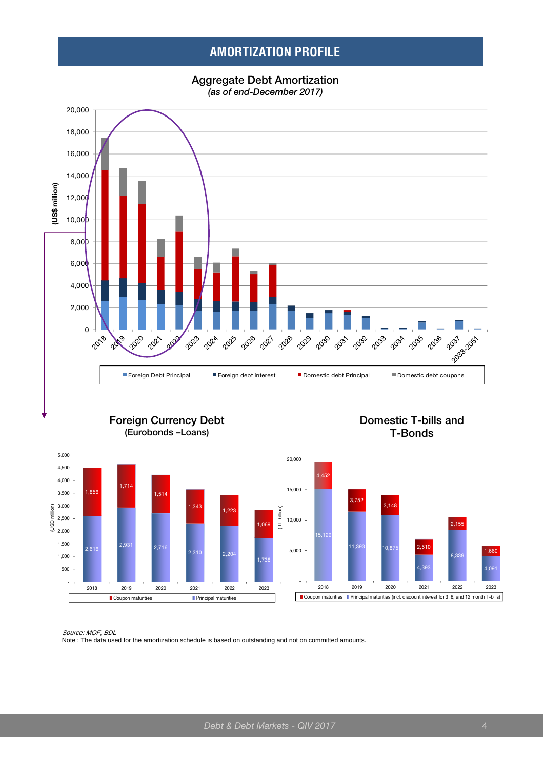## **AMORTIZATION PROFILE**







1,514

Coupon maturities **Principal maturities** 





 - 500 1,000 1,500 2,000 2,500 3,000 3,500 4,000 4,500 5,000

(USD million)

 $.85$ 

2,931 2,716

 $1.7<sup>4</sup>$ 

*Source: MOF, BDL*<br>Note : The data used for the amortization schedule is based on outstanding and not on committed amounts.

2,310 2,204

 $1,343$  1,223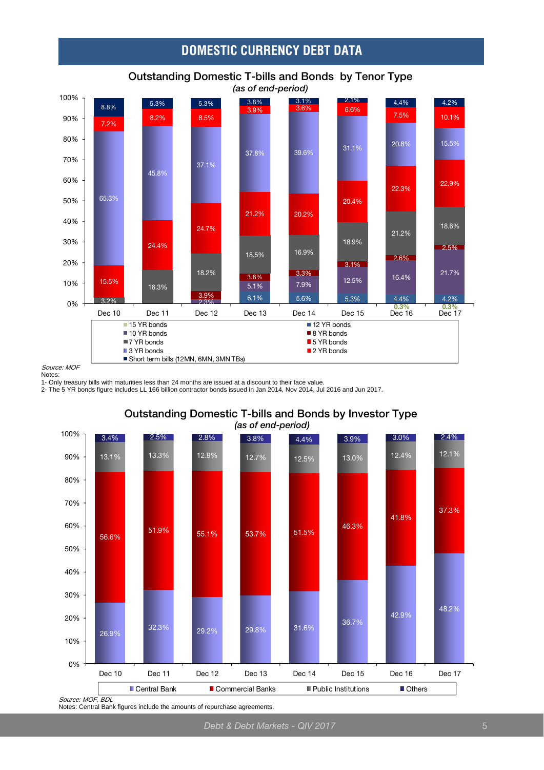## **DOMESTIC CURRENCY DEBT DATA**



## **Outstanding Domestic T-bills and Bonds by Tenor Type**

Source: MOF Notes:

1- Only treasury bills with maturities less than 24 months are issued at a discount to their face value.

2- The 5 YR bonds figure includes LL 166 billion contractor bonds issued in Jan 2014, Nov 2014, Jul 2016 and Jun 2017.



**Outstanding Domestic T-bills and Bonds by Investor Type**  *(as of end-period)* 

Notes: Central Bank figures include the amounts of repurchase agreements.

*Debt & Debt Markets - QIV 2017* 5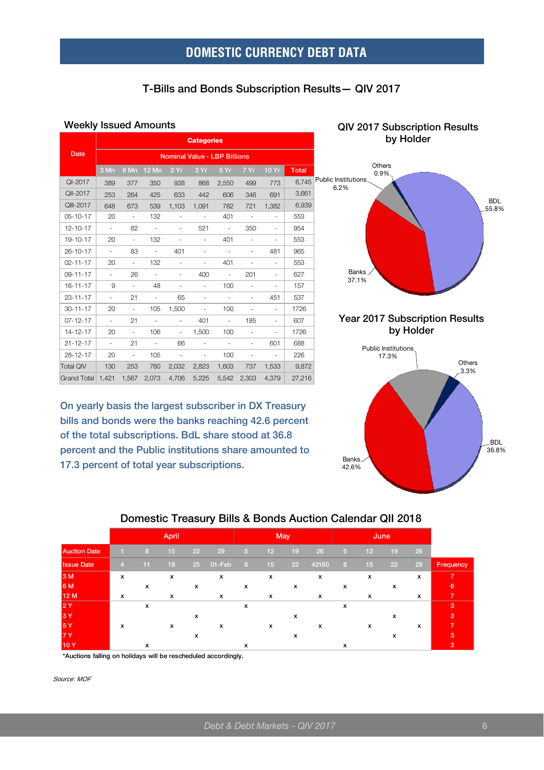## **DOMESTIC CURRENCY DEBT DATA**

#### **T-Bills and Bonds Subscription Results— QIV 2017**

#### **Weekly Issued Amounts QIV 2017 Subscription Results**

|                   |                                     |                          |                 |                          | <b>Categories</b>        |                          |                          |                          |              |  |  |  |  |
|-------------------|-------------------------------------|--------------------------|-----------------|--------------------------|--------------------------|--------------------------|--------------------------|--------------------------|--------------|--|--|--|--|
| Date              | <b>Nominal Value - LBP Billions</b> |                          |                 |                          |                          |                          |                          |                          |              |  |  |  |  |
|                   | 3 Mn                                |                          | 6 Mn 12 Mn 2 Yr |                          | 3Yr                      | 5Yr                      | 7 Yr                     | 10Yr                     | <b>Total</b> |  |  |  |  |
| QI-2017           | 389                                 | 377                      | 350             | 938                      | 868                      | 2,550                    | 499                      | 773                      | 6,745        |  |  |  |  |
| QII-2017          | 253                                 | 264                      | 425             | 633                      | 442                      | 606                      | 346                      | 691                      | 3,661        |  |  |  |  |
| QIII-2017         | 648                                 | 673                      | 539             | 1,103                    | 1,091                    | 782                      | 721                      | 1,382                    | 6,939        |  |  |  |  |
| 05-10-17          | 20                                  | $\sim$                   | 132             | $\overline{\phantom{a}}$ | $\sim$                   | 401                      | $\sim$                   | $\overline{\phantom{a}}$ | 553          |  |  |  |  |
| $12 - 10 - 17$    | $\omega_{\rm c}$                    | 82                       | $\sim$          |                          | 521                      | $\sim$                   | 350                      |                          | 954          |  |  |  |  |
| 19-10-17          | 20                                  | $\sim$                   | 132             | $\frac{1}{2}$            | $\blacksquare$           | 401                      | ÷,                       | $\overline{\phantom{a}}$ | 553          |  |  |  |  |
| $26 - 10 - 17$    | $\omega$                            | 83                       | $\omega$        | 401                      | L.                       | $\sim$                   | ä,                       | 481                      | 965          |  |  |  |  |
| $02 - 11 - 17$    | 20                                  | $\sim$                   | 132             | $\sim$                   | $\blacksquare$           | 401                      | $\overline{\phantom{a}}$ | $\overline{\phantom{a}}$ | 553          |  |  |  |  |
| $09 - 11 - 17$    | ÷.                                  | 26                       | $\sim$          | $\overline{\phantom{a}}$ | 400                      | $\overline{\phantom{a}}$ | 201                      | $\overline{\phantom{a}}$ | 627          |  |  |  |  |
| $16 - 11 - 17$    | 9                                   | $\equiv$                 | 48              | ÷.                       | $\blacksquare$           | 100                      | $\frac{1}{2}$            | Ξ.                       | 157          |  |  |  |  |
| $23 - 11 - 17$    | $\omega_{\rm c}$                    | 21                       | $\omega$        | 65                       | $\blacksquare$           | $\omega$                 | ÷.                       | 451                      | 537          |  |  |  |  |
| $30 - 11 - 17$    | 20                                  | $\sim$                   | 105             | 1,500                    | $\sim$                   | 100                      | $\overline{\phantom{a}}$ | $\overline{\phantom{a}}$ | 1726         |  |  |  |  |
| $07 - 12 - 17$    | $\sim$                              | 21                       | $\equiv$        | $\overline{\phantom{a}}$ | 401                      | $\blacksquare$           | 185                      | $\overline{\phantom{a}}$ | 607          |  |  |  |  |
| 14-12-17          | 20                                  | $\equiv$                 | 106             | $\overline{\phantom{a}}$ | 1,500                    | 100                      | $\overline{\phantom{a}}$ | $\frac{1}{2}$            | 1726         |  |  |  |  |
| $21 - 12 - 17$    | $\sim$                              | 21                       | $\sim$          | 66                       | $\sim$                   | $\sim$                   | $\overline{\phantom{a}}$ | 601                      | 688          |  |  |  |  |
| $28 - 12 - 17$    | 20                                  | $\overline{\phantom{a}}$ | 105             | $\overline{\phantom{a}}$ | $\overline{\phantom{a}}$ | 100                      | $\overline{\phantom{a}}$ | $\sim$                   | 226          |  |  |  |  |
| <b>Total QIV</b>  | 130                                 | 253                      | 760             | 2,032                    | 2,823                    | 1,603                    | 737                      | 1,533                    | 9,872        |  |  |  |  |
| Grand Total 1.421 |                                     | 1,567                    | 2,073           | 4.706                    | 5,225                    | 5,542                    | 2,303                    | 4.379                    | 27,216       |  |  |  |  |

**On yearly basis the largest subscriber in DX Treasury bills and bonds were the banks reaching 42.6 percent of the total subscriptions. BdL share stood at 36.8 percent and the Public institutions share amounted to 17.3 percent of total year subscriptions.**



**Year 2017 Subscription Results by Holder** 



#### **Domestic Treasury Bills & Bonds Auction Calendar QII 2018**

|                     |                |    | April |    |           |     |    | May |              |    |    | June |    |           |
|---------------------|----------------|----|-------|----|-----------|-----|----|-----|--------------|----|----|------|----|-----------|
| <b>Auction Date</b> |                | 8  | 15    | 22 | 29        | 15) | 12 | 19  | 26           | Æу | 12 | 19   | 26 |           |
| <b>Issue Date</b>   | $\overline{4}$ | 11 | 18    | 25 | $01$ -Feb | 8   | 15 | 22  | 43160        | 8  | 15 | 22   | 29 | Frequency |
| 3 M                 | x              |    | x     |    | x         |     | x  |     | x            |    | x  |      | x  |           |
| 6 M                 |                | x  |       | x  |           | x   |    | x   |              | X  |    | x    |    | 6         |
| 12 M                | $\mathbf{x}$   |    | x     |    | x         |     | x  |     | $\mathbf{x}$ |    | x  |      | x  |           |
| 2Y                  |                | x  |       |    |           | x   |    |     |              | x  |    |      |    | 3         |
| 3Y                  |                |    |       | х  |           |     |    | х   |              |    |    | x    |    | 3         |
| 5Y                  | x              |    | x     |    | x         |     | x  |     | х            |    | х  |      | x  |           |
| <b>7Y</b>           |                |    |       | x  |           |     |    | х   |              |    |    | x    |    | з         |
| 10Y                 |                | х  |       |    |           | х   |    |     |              | х  |    |      |    | 3         |

**\*Auctions falling on holidays will be rescheduled accordingly.**

Source: MOF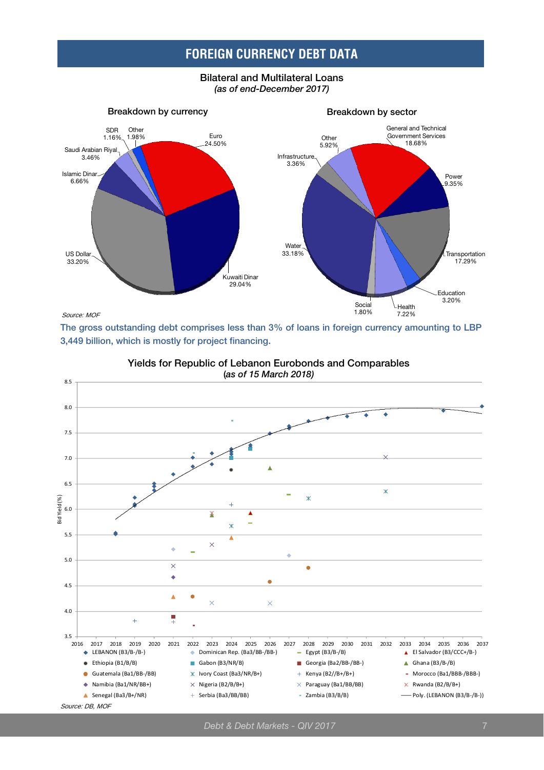## **FOREIGN CURRENCY DEBT DATA**

**Bilateral and Multilateral Loans**  *(as of end-December 2017)* 



**The gross outstanding debt comprises less than 3% of loans in foreign currency amounting to LBP 3,449 billion, which is mostly for project financing.** 



**Yields for Republic of Lebanon Eurobonds and Comparables** 

*Debt & Debt Markets - QIV 2017* 7